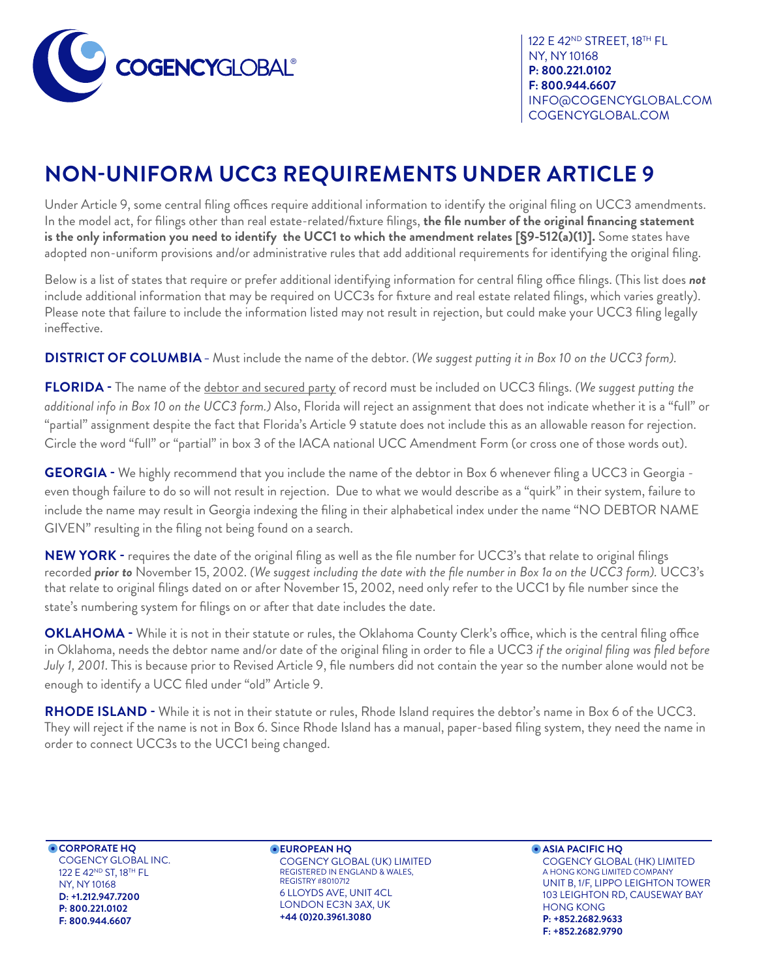

*Page 1 of 2* https://www.cogencyglobal.com COGENCYGLOBAL.COM 122 E 42ND STREET, 18TH FL NY, NY 10168 **P: 800.221.0102 F: 800.944.6607** INFO@COGENCYGLOBAL.COM

## **NON-UNIFORM UCC3 REQUIREMENTS UNDER ARTICLE 9**

Under Article 9, some central filing offices require additional information to identify the original filing on UCC3 amendments. In the model act, for filings other than real estate-related/fixture filings, **the file number of the original financing statement is the only information you need to identify the UCC1 to which the amendment relates [§9-512(a)(1)].** Some states have adopted non-uniform provisions and/or administrative rules that add additional requirements for identifying the original filing.

Below is a list of states that require or prefer additional identifying information for central filing office filings. (This list does *not* include additional information that may be required on UCC3s for fixture and real estate related filings, which varies greatly). Please note that failure to include the information listed may not result in rejection, but could make your UCC3 filing legally ineffective.

**DISTRICT OF COLUMBIA –** Must include the name of the debtor. *(We suggest putting it in Box 10 on the UCC3 form).*

**FLORIDA -** The name of the debtor and secured party of record must be included on UCC3 filings. *(We suggest putting the additional info in Box 10 on the UCC3 form.)* Also, Florida will reject an assignment that does not indicate whether it is a "full" or "partial" assignment despite the fact that Florida's Article 9 statute does not include this as an allowable reason for rejection. Circle the word "full" or "partial" in box 3 of the IACA national UCC Amendment Form (or cross one of those words out).

**GEORGIA -** We highly recommend that you include the name of the debtor in Box 6 whenever filing a UCC3 in Georgia even though failure to do so will not result in rejection. Due to what we would describe as a "quirk" in their system, failure to include the name may result in Georgia indexing the filing in their alphabetical index under the name "NO DEBTOR NAME GIVEN" resulting in the filing not being found on a search.

**NEW YORK -** requires the date of the original filing as well as the file number for UCC3's that relate to original filings recorded *prior to* November 15, 2002. *(We suggest including the date with the file number in Box 1a on the UCC3 form).* UCC3's that relate to original filings dated on or after November 15, 2002, need only refer to the UCC1 by file number since the state's numbering system for filings on or after that date includes the date.

**OKLAHOMA -** While it is not in their statute or rules, the Oklahoma County Clerk's office, which is the central filing office in Oklahoma, needs the debtor name and/or date of the original filing in order to file a UCC3 *if the original filing was filed before July 1, 2001*. This is because prior to Revised Article 9, file numbers did not contain the year so the number alone would not be enough to identify a UCC filed under "old" Article 9.

**RHODE ISLAND -** While it is not in their statute or rules, Rhode Island requires the debtor's name in Box 6 of the UCC3. They will reject if the name is not in Box 6. Since Rhode Island has a manual, paper-based filing system, they need the name in order to connect UCC3s to the UCC1 being changed.

**CORPORATE HQ** COGENCY GLOBAL INC. 122 E 42ND ST, 18TH FL NY, NY 10168 **D: +1.212.947.7200 P: 800.221.0102 F: 800.944.6607**

**EUROPEAN HQ**  COGENCY GLOBAL (UK) LIMITED REGISTERED IN ENGLAND & WALES, REGISTRY #8010712 6 LLOYDS AVE, UNIT 4CL LONDON EC3N 3AX, UK **+44 (0)20.3961.3080**

**ASIA PACIFIC HQ** COGENCY GLOBAL (HK) LIMITED A HONG KONG LIMITED COMPANY UNIT B, 1/F, LIPPO LEIGHTON TOWER 103 LEIGHTON RD, CAUSEWAY BAY HONG KONG **P: +852.2682.9633 F: +852.2682.9790**